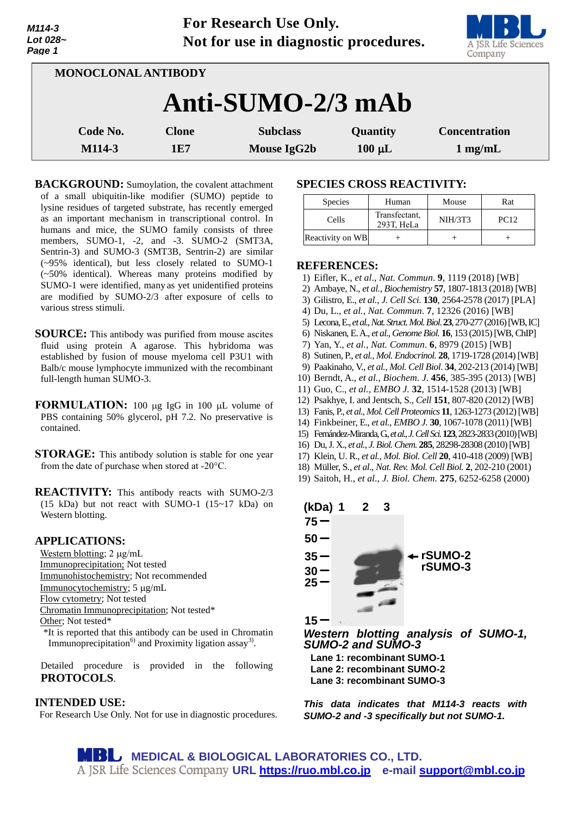| M114-3   |
|----------|
| Lot 028~ |
| Page 1   |

**For Research Use Only. Not for use in diagnostic procedures.**



| <b>MONOCLONAL ANTIBODY</b> |                     |                                |                         |                                           |  |  |
|----------------------------|---------------------|--------------------------------|-------------------------|-------------------------------------------|--|--|
| Anti-SUMO-2/3 mAb          |                     |                                |                         |                                           |  |  |
| Code No.<br>M114-3         | <b>Clone</b><br>1E7 | <b>Subclass</b><br>Mouse IgG2b | Quantity<br>$100 \mu L$ | <b>Concentration</b><br>$1 \text{ mg/mL}$ |  |  |

**BACKGROUND:** Sumoylation, the covalent attachment of a small ubiquitin-like modifier (SUMO) peptide to lysine residues of targeted substrate, has recently emerged as an important mechanism in transcriptional control. In humans and mice, the SUMO family consists of three members, SUMO-1, -2, and -3. SUMO-2 (SMT3A, Sentrin-3) and SUMO-3 (SMT3B, Sentrin-2) are similar (~95% identical), but less closely related to SUMO-1 (~50% identical). Whereas many proteins modified by SUMO-1 were identified, many as yet unidentified proteins are modified by SUMO-2/3 after exposure of cells to various stress stimuli.

**SOURCE:** This antibody was purified from mouse ascites fluid using protein A agarose. This hybridoma was established by fusion of mouse myeloma cell P3U1 with Balb/c mouse lymphocyte immunized with the recombinant full-length human SUMO-3.

**FORMULATION:** 100 µg IgG in 100 µL volume of PBS containing 50% glycerol, pH 7.2. No preservative is contained.

**STORAGE:** This antibody solution is stable for one year from the date of purchase when stored at -20°C.

**REACTIVITY:** This antibody reacts with SUMO-2/3 (15 kDa) but not react with SUMO-1  $(15~17~kDa)$  on Western blotting.

# **APPLICATIONS:**

Western blotting;  $2 \mu g/mL$ Immunoprecipitation; Not tested Immunohistochemistry; Not recommended

Immunocytochemistry; 5 µg/mL

Flow cytometry; Not tested

Chromatin Immunoprecipitation; Not tested\*

Other; Not tested\*

\*It is reported that this antibody can be used in Chromatin Immunoprecipitation<sup>6)</sup> and Proximity ligation assay<sup>3)</sup>.

Detailed procedure is provided in the following **PROTOCOLS**.

# **INTENDED USE:**

For Research Use Only. Not for use in diagnostic procedures.

## **SPECIES CROSS REACTIVITY:**

| <b>Species</b>   | Human                       | Mouse   | Rat         |
|------------------|-----------------------------|---------|-------------|
| Cells            | Transfectant,<br>293T, HeLa | NIH/3T3 | <b>PC12</b> |
| Reactivity on WB |                             |         |             |

### **REFERENCES:**

- 1) Eifler, K., *et al*., *Nat. Commun*. **9**, 1119 (2018) [WB]
- 2) Ambaye, N., *et al., Biochemistry* **57**, 1807-1813 (2018) [WB]
- 3) Gilistro, E., *et al., J. Cell Sci*. **130**, 2564-2578 (2017) [PLA]
- 4) Du, L., *et al.*, *Nat. Commun*. **7**, 12326 (2016) [WB]
- 5) Lecona, E., *et al.*, *Nat.Struct. Mol. Biol*. **23**, 270-277(2016) [WB, IC]
- 6) Niskanen, E. A., *et al.*, *Genome Biol.* **16**, 153 (2015)[WB, ChIP]
- 7) Yan, Y., *et al.*, *Nat. Commun*. **6**, 8979 (2015) [WB]
- 8) Sutinen, P., *et al., Mol. Endocrinol.* **28**, 1719-1728 (2014) [WB]
- 9) Paakinaho, V., *et al., Mol. Cell Biol*. **34**, 202-213 (2014) [WB]
- 10) Berndt, A., *et al., Biochem. J*. **456**, 385-395 (2013) [WB]
- 11) Guo, C., *et al., EMBO J.* **32**, 1514-1528 (2013) [WB]
- 12) Psakhye, I. and Jentsch, S., *Cell* **151**, 807-820 (2012) [WB]
- 13) Fanis, P., *et al., Mol.Cell Proteomics* **11**, 1263-1273 (2012)[WB]
- 14) Finkbeiner, E., *et al., EMBO J.* **30**, 1067-1078 (2011) [WB]
- 15) Fernández-Miranda, G., *et al.*, *J. Cell Sci.***123**, 2823-2833 (2010)[WB]
- 16) Du, J. X., *et al.*, *J. Biol. Chem.* **285**, 28298-28308 (2010)[WB]
- 17) Klein, U. R., *et al.*, *Mol. Biol. Cell* **20**, 410-418 (2009) [WB]
- 18) Müller, S., *et al*., *Nat. Rev. Mol. Cell Biol.* **2**, 202-210 (2001)
- 19) Saitoh, H., *et al*., *J. Biol. Chem.* **275**, 6252-6258 (2000)



*Western blotting analysis of SUMO-1, SUMO-2 and SUMO-3*

**Lane 1: recombinant SUMO-1 Lane 2: recombinant SUMO-2 Lane 3: recombinant SUMO-3**

*This data indicates that M114-3 reacts with SUMO-2 and -3 specifically but not SUMO-1.*